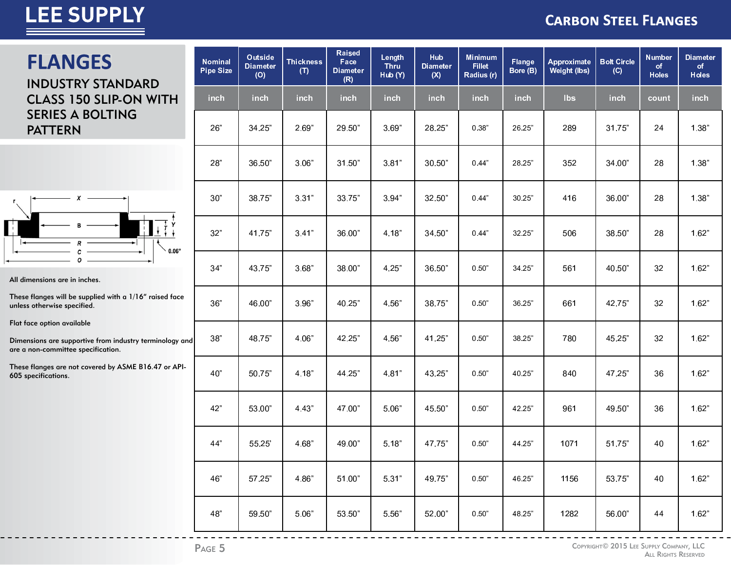# **LEE SUPPLY**

#### **CARBON STEEL FLANGES**

### **FLANGES** INDUSTRY STANDARD

 CLASS 150 SLIP-ON WITH SERIES A BOLTING PATTERN



All dimensions are in inches.

These flanges will be supplied with a 1/16" raised face unless otherwise specified.

Flat face option available

Dimensions are supportive from industry terminology and are a non-committee specification.

These flanges are not covered by ASME B16.47 or API-605 specifications.

| Nominal<br><b>Pipe Size</b> | Outside<br><b>Diameter</b><br>(O) | <b>Thickness</b><br>(T) | <b>Raised</b><br>Face<br><b>Diameter</b><br>(R) | Length<br>Thru<br>Hub (Y) | <b>Hub</b><br><b>Diameter</b><br>(X) | <b>Minimum</b><br><b>Fillet</b><br>Radius (r) | Flange<br>Bore (B) | Approximate<br><b>Weight (lbs)</b> | <b>Bolt Circle</b><br>(C) | <b>Number</b><br>of<br><b>Holes</b> | <b>Diameter</b><br>of<br><b>Holes</b> |
|-----------------------------|-----------------------------------|-------------------------|-------------------------------------------------|---------------------------|--------------------------------------|-----------------------------------------------|--------------------|------------------------------------|---------------------------|-------------------------------------|---------------------------------------|
| inch                        | inch                              | inch                    | <b>inch</b>                                     | inch                      | inch                                 | inch                                          | inch               | <b>lbs</b>                         | <b>inch</b>               | count                               | inch                                  |
| 26"                         | 34.25"                            | 2.69"                   | 29.50"                                          | 3.69"                     | 28.25"                               | 0.38"                                         | 26.25"             | 289                                | 31.75"                    | 24                                  | 1.38"                                 |
| 28"                         | 36.50"                            | 3.06"                   | 31.50"                                          | 3.81"                     | 30.50"                               | 0.44"                                         | 28.25"             | 352                                | 34.00"                    | 28                                  | 1.38"                                 |
| 30"                         | 38.75"                            | 3.31"                   | 33.75"                                          | 3.94"                     | 32.50"                               | 0.44"                                         | 30.25"             | 416                                | 36.00"                    | 28                                  | 1.38"                                 |
| 32"                         | 41.75"                            | 3.41"                   | 36.00"                                          | 4.18"                     | 34.50"                               | 0.44"                                         | 32.25"             | 506                                | 38.50"                    | 28                                  | 1.62"                                 |
| 34"                         | 43.75"                            | 3.68"                   | 38.00"                                          | 4.25"                     | 36.50"                               | 0.50"                                         | 34.25"             | 561                                | 40.50"                    | 32                                  | 1.62"                                 |
| 36"                         | 46.00"                            | 3.96"                   | 40.25"                                          | 4.56"                     | 38.75"                               | 0.50"                                         | 36.25"             | 661                                | 42.75"                    | 32                                  | 1.62"                                 |
| 38"                         | 48.75"                            | 4.06"                   | 42.25"                                          | 4.56"                     | 41.25"                               | 0.50"                                         | 38.25"             | 780                                | 45.25"                    | 32                                  | 1.62"                                 |
| 40"                         | 50.75"                            | 4.18"                   | 44.25"                                          | 4.81"                     | 43.25"                               | 0.50"                                         | 40.25"             | 840                                | 47.25"                    | 36                                  | 1.62"                                 |
| 42"                         | 53.00"                            | 4.43"                   | 47.00"                                          | 5.06"                     | 45.50"                               | 0.50"                                         | 42.25"             | 961                                | 49.50"                    | 36                                  | 1.62"                                 |
| 44"                         | 55.25'                            | 4.68"                   | 49.00"                                          | 5.18"                     | 47.75"                               | 0.50"                                         | 44.25"             | 1071                               | 51.75"                    | 40                                  | 1.62"                                 |
| 46"                         | 57.25"                            | 4.86"                   | 51.00"                                          | 5.31"                     | 49.75"                               | 0.50"                                         | 46.25"             | 1156                               | 53.75"                    | 40                                  | 1.62"                                 |
| 48"                         | 59.50"                            | 5.06"                   | 53.50"                                          | 5.56"                     | 52.00"                               | 0.50"                                         | 48.25"             | 1282                               | 56.00"                    | 44                                  | 1.62"                                 |

 $- - - - - - -$